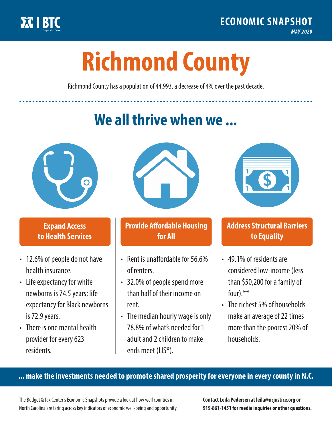

**1**

# **Richmond County**

Richmond County has a population of 44,993, a decrease of 4% over the past decade.

# **We all thrive when we ...**



**\$ <sup>1</sup>**

**\$ <sup>1</sup>**

#### **Expand Access to Health Services**

- 12.6% of people do not have health insurance.
- Life expectancy for white newborns is 74.5 years; life expectancy for Black newborns is 72.9 years.
- There is one mental health provider for every 623 residents.



## **Provide Affordable Housing for All**

- Rent is unaffordable for 56.6% of renters.
- 32.0% of people spend more than half of their income on rent.
- The median hourly wage is only 78.8% of what's needed for 1 adult and 2 children to make ends meet (LIS\*).



## **Address Structural Barriers to Equality**

- 49.1% of residents are considered low-income (less than \$50,200 for a family of four).\*\*
- The richest 5% of households make an average of 22 times more than the poorest 20% of households.

#### **... make the investments needed to promote shared prosperity for everyone in every county in N.C.**

The Budget & Tax Center's Economic Snapshots provide a look at how well counties in North Carolina are faring across key indicators of economic well-being and opportunity.